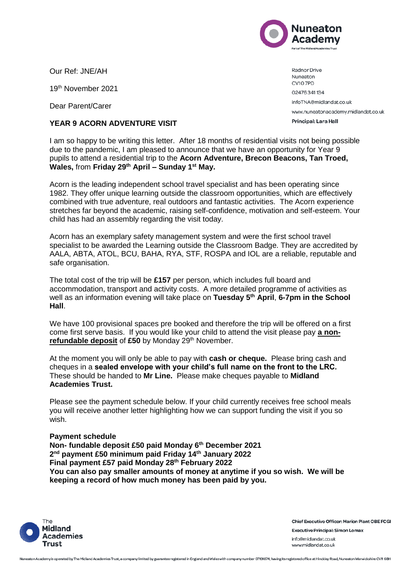

Our Ref: JNE/AH

19th November 2021

Dear Parent/Carer

## **YEAR 9 ACORN ADVENTURE VISIT**

Radnor Drive Nuneaton CV10 7PD 02476341134 infoTNA@midlandat.co.uk www.nuneatonacademy.midlandat.co.uk Principal: Lara Hall

I am so happy to be writing this letter. After 18 months of residential visits not being possible due to the pandemic, I am pleased to announce that we have an opportunity for Year 9 pupils to attend a residential trip to the **Acorn Adventure, Brecon Beacons, Tan Troed, Wales,** from **Friday 29th April – Sunday 1st May.**

Acorn is the leading independent school travel specialist and has been operating since 1982. They offer unique learning outside the classroom opportunities, which are effectively combined with true adventure, real outdoors and fantastic activities. The Acorn experience stretches far beyond the academic, raising self-confidence, motivation and self-esteem. Your child has had an assembly regarding the visit today.

Acorn has an exemplary safety management system and were the first school travel specialist to be awarded the Learning outside the Classroom Badge. They are accredited by AALA, ABTA, ATOL, BCU, BAHA, RYA, STF, ROSPA and IOL are a reliable, reputable and safe organisation.

The total cost of the trip will be **£157** per person, which includes full board and accommodation, transport and activity costs. A more detailed programme of activities as well as an information evening will take place on **Tuesday 5th April**, **6-7pm in the School Hall**.

We have 100 provisional spaces pre booked and therefore the trip will be offered on a first come first serve basis. If you would like your child to attend the visit please pay **a non**refundable deposit of £50 by Monday 29<sup>th</sup> November.

At the moment you will only be able to pay with **cash or cheque.** Please bring cash and cheques in a **sealed envelope with your child's full name on the front to the LRC.**  These should be handed to **Mr Line.** Please make cheques payable to **Midland Academies Trust.**

Please see the payment schedule below. If your child currently receives free school meals you will receive another letter highlighting how we can support funding the visit if you so wish.

## **Payment schedule**

**Non- fundable deposit £50 paid Monday 6th December 2021 2 nd payment £50 minimum paid Friday 14th January 2022 Final payment £57 paid Monday 28th February 2022 You can also pay smaller amounts of money at anytime if you so wish. We will be keeping a record of how much money has been paid by you.**



**Chief Executive Officer: Marion Plant OBE FCGI Executive Principal: Simon Lomax** info@midlandat.co.uk www.midlandat.co.uk